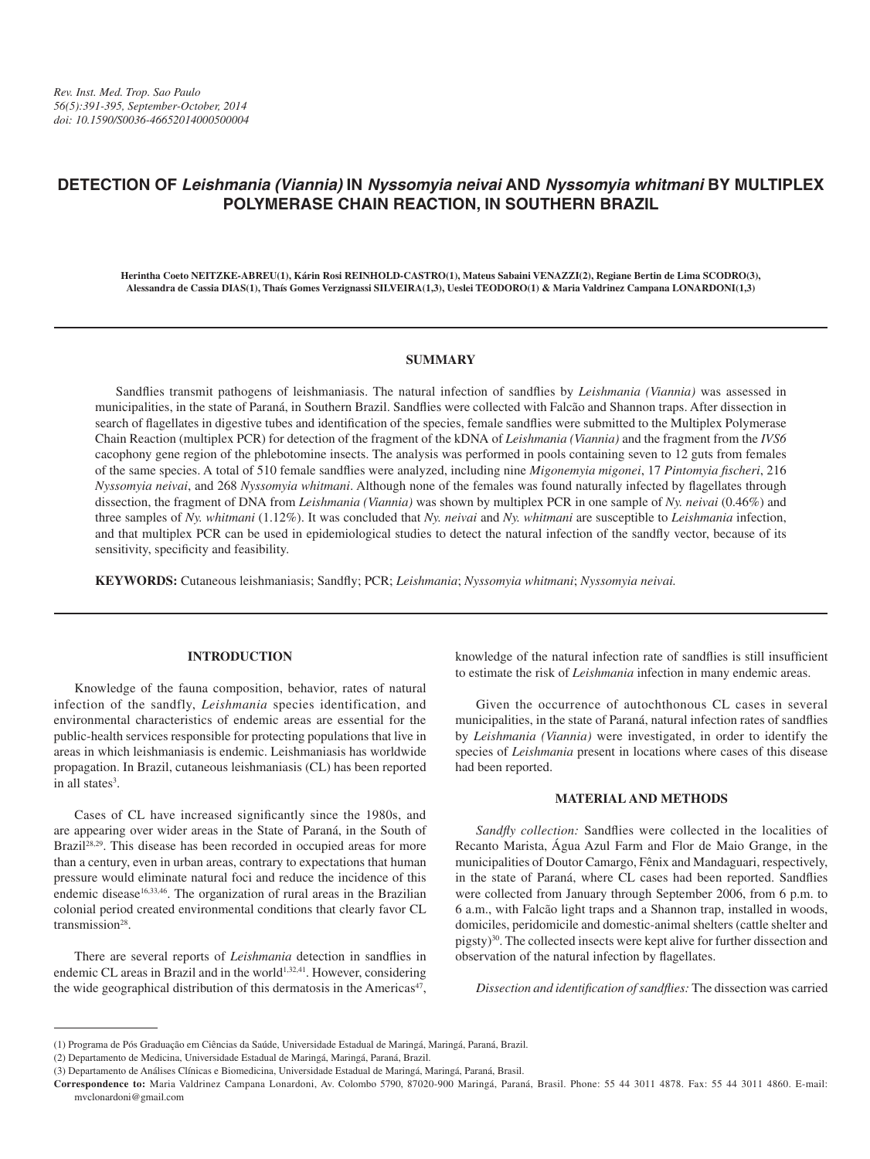# **DETECTION OF** *Leishmania (Viannia)* **IN** *Nyssomyia neivai* **AND** *Nyssomyia whitmani* **BY MULTIPLEX POLYMERASE CHAIN REACTION, IN SOUTHERN BRAZIL**

**Herintha Coeto NEITZKE-ABREU(1), Kárin Rosi REINHOLD-CASTRO(1), Mateus Sabaini VENAZZI(2), Regiane Bertin de Lima SCODRO(3), Alessandra de Cassia DIAS(1), Thaís Gomes Verzignassi SILVEIRA(1,3), Ueslei TEODORO(1) & Maria Valdrinez Campana LONARDONI(1,3)**

## **SUMMARY**

Sandflies transmit pathogens of leishmaniasis. The natural infection of sandflies by *Leishmania (Viannia)* was assessed in municipalities, in the state of Paraná, in Southern Brazil. Sandflies were collected with Falcão and Shannon traps. After dissection in search of flagellates in digestive tubes and identification of the species, female sandflies were submitted to the Multiplex Polymerase Chain Reaction (multiplex PCR) for detection of the fragment of the kDNA of *Leishmania (Viannia)* and the fragment from the *IVS6*  cacophony gene region of the phlebotomine insects. The analysis was performed in pools containing seven to 12 guts from females of the same species. A total of 510 female sandflies were analyzed, including nine *Migonemyia migonei*, 17 *Pintomyia fischeri*, 216 *Nyssomyia neivai*, and 268 *Nyssomyia whitmani*. Although none of the females was found naturally infected by flagellates through dissection, the fragment of DNA from *Leishmania (Viannia)* was shown by multiplex PCR in one sample of *Ny. neivai* (0.46%) and three samples of *Ny. whitmani* (1.12%). It was concluded that *Ny. neivai* and *Ny. whitmani* are susceptible to *Leishmania* infection, and that multiplex PCR can be used in epidemiological studies to detect the natural infection of the sandfly vector, because of its sensitivity, specificity and feasibility.

**KEYWORDS:** Cutaneous leishmaniasis; Sandfly; PCR; *Leishmania*; *Nyssomyia whitmani*; *Nyssomyia neivai.*

#### **INTRODUCTION**

Knowledge of the fauna composition, behavior, rates of natural infection of the sandfly, *Leishmania* species identification, and environmental characteristics of endemic areas are essential for the public-health services responsible for protecting populations that live in areas in which leishmaniasis is endemic. Leishmaniasis has worldwide propagation. In Brazil, cutaneous leishmaniasis (CL) has been reported in all states<sup>3</sup>.

Cases of CL have increased significantly since the 1980s, and are appearing over wider areas in the State of Paraná, in the South of Brazil<sup>28,29</sup>. This disease has been recorded in occupied areas for more than a century, even in urban areas, contrary to expectations that human pressure would eliminate natural foci and reduce the incidence of this endemic disease<sup>16,33,46</sup>. The organization of rural areas in the Brazilian colonial period created environmental conditions that clearly favor CL transmission28.

There are several reports of *Leishmania* detection in sandflies in endemic CL areas in Brazil and in the world<sup>1,32,41</sup>. However, considering the wide geographical distribution of this dermatosis in the Americas<sup>47</sup>,

knowledge of the natural infection rate of sandflies is still insufficient to estimate the risk of *Leishmania* infection in many endemic areas.

Given the occurrence of autochthonous CL cases in several municipalities, in the state of Paraná, natural infection rates of sandflies by *Leishmania (Viannia)* were investigated, in order to identify the species of *Leishmania* present in locations where cases of this disease had been reported.

### **MATERIAL AND METHODS**

*Sandfly collection:* Sandflies were collected in the localities of Recanto Marista, Água Azul Farm and Flor de Maio Grange, in the municipalities of Doutor Camargo, Fênix and Mandaguari, respectively, in the state of Paraná, where CL cases had been reported. Sandflies were collected from January through September 2006, from 6 p.m. to 6 a.m., with Falcão light traps and a Shannon trap, installed in woods, domiciles, peridomicile and domestic-animal shelters (cattle shelter and pigsty)30. The collected insects were kept alive for further dissection and observation of the natural infection by flagellates.

*Dissection and identification of sandflies:* The dissection was carried

<sup>(1)</sup> Programa de Pós Graduação em Ciências da Saúde, Universidade Estadual de Maringá, Maringá, Paraná, Brazil.

<sup>(2)</sup> Departamento de Medicina, Universidade Estadual de Maringá, Maringá, Paraná, Brazil.

<sup>(3)</sup> Departamento de Análises Clínicas e Biomedicina, Universidade Estadual de Maringá, Maringá, Paraná, Brasil.

**Correspondence to:** Maria Valdrinez Campana Lonardoni, Av. Colombo 5790, 87020-900 Maringá, Paraná, Brasil. Phone: 55 44 3011 4878. Fax: 55 44 3011 4860. E-mail: mvclonardoni@gmail.com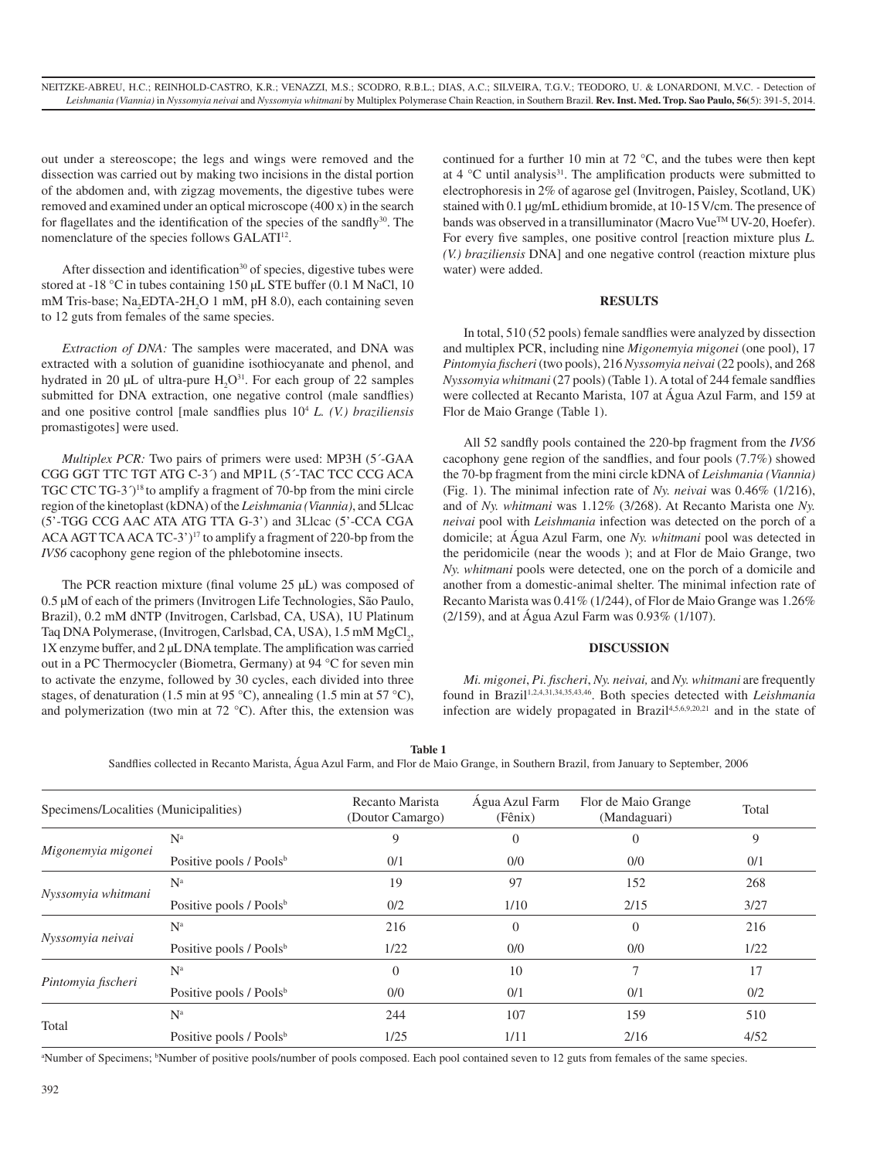out under a stereoscope; the legs and wings were removed and the dissection was carried out by making two incisions in the distal portion of the abdomen and, with zigzag movements, the digestive tubes were removed and examined under an optical microscope (400 x) in the search for flagellates and the identification of the species of the sandfly<sup>30</sup>. The nomenclature of the species follows GALATI<sup>12</sup>.

After dissection and identification<sup>30</sup> of species, digestive tubes were stored at -18 °C in tubes containing 150 µL STE buffer (0.1 M NaCl, 10) mM Tris-base; Na<sub>2</sub>EDTA-2H<sub>2</sub>O 1 mM, pH 8.0), each containing seven to 12 guts from females of the same species.

*Extraction of DNA:* The samples were macerated, and DNA was extracted with a solution of guanidine isothiocyanate and phenol, and hydrated in 20  $\mu$ L of ultra-pure  $H_2O^{31}$ . For each group of 22 samples submitted for DNA extraction, one negative control (male sandflies) and one positive control [male sandflies plus 104 *L. (V.) braziliensis* promastigotes] were used.

*Multiplex PCR:* Two pairs of primers were used: MP3H (5<sup>-</sup>-GAA CGG GGT TTC TGT ATG C-3´) and MP1L (5´-TAC TCC CCG ACA TGC CTC TG-3<sup> $\gamma$ 18</sup> to amplify a fragment of 70-bp from the mini circle region of the kinetoplast (kDNA) of the *Leishmania (Viannia)*, and 5Llcac (5'-TGG CCG AAC ATA ATG TTA G-3') and 3Llcac (5'-CCA CGA ACA AGT TCA ACA TC-3')<sup>17</sup> to amplify a fragment of 220-bp from the *IVS6* cacophony gene region of the phlebotomine insects.

The PCR reaction mixture (final volume 25  $\mu$ L) was composed of 0.5 µM of each of the primers (Invitrogen Life Technologies, São Paulo, Brazil), 0.2 mM dNTP (Invitrogen, Carlsbad, CA, USA), 1U Platinum Taq DNA Polymerase, (Invitrogen, Carlsbad, CA, USA), 1.5 mM MgCl<sub>2</sub>, 1X enzyme buffer, and 2 µL DNA template. The amplification was carried out in a PC Thermocycler (Biometra, Germany) at 94 °C for seven min to activate the enzyme, followed by 30 cycles, each divided into three stages, of denaturation (1.5 min at 95 °C), annealing (1.5 min at 57 °C), and polymerization (two min at 72 °C). After this, the extension was

continued for a further 10 min at 72 °C, and the tubes were then kept at  $4^{\circ}$ C until analysis<sup>31</sup>. The amplification products were submitted to electrophoresis in 2% of agarose gel (Invitrogen, Paisley, Scotland, UK) stained with 0.1 µg/mL ethidium bromide, at 10-15 V/cm. The presence of bands was observed in a transilluminator (Macro Vue™ UV-20, Hoefer). For every five samples, one positive control [reaction mixture plus *L. (V.) braziliensis* DNA] and one negative control (reaction mixture plus water) were added.

#### **RESULTS**

In total, 510 (52 pools) female sandflies were analyzed by dissection and multiplex PCR, including nine *Migonemyia migonei* (one pool), 17 *Pintomyia fischeri* (two pools), 216 *Nyssomyia neivai* (22 pools), and 268 *Nyssomyia whitmani* (27 pools) (Table 1). A total of 244 female sandflies were collected at Recanto Marista, 107 at Água Azul Farm, and 159 at Flor de Maio Grange (Table 1).

All 52 sandfly pools contained the 220-bp fragment from the *IVS6* cacophony gene region of the sandflies, and four pools (7.7%) showed the 70-bp fragment from the mini circle kDNA of *Leishmania (Viannia)*  (Fig. 1). The minimal infection rate of *Ny. neivai* was 0.46% (1/216), and of *Ny. whitmani* was 1.12% (3/268). At Recanto Marista one *Ny. neivai* pool with *Leishmania* infection was detected on the porch of a domicile; at Água Azul Farm, one *Ny. whitmani* pool was detected in the peridomicile (near the woods ); and at Flor de Maio Grange, two *Ny. whitmani* pools were detected, one on the porch of a domicile and another from a domestic-animal shelter. The minimal infection rate of Recanto Marista was 0.41% (1/244), of Flor de Maio Grange was 1.26% (2/159), and at Água Azul Farm was 0.93% (1/107).

#### **DISCUSSION**

*Mi. migonei*, *Pi. fischeri*, *Ny. neivai,* and *Ny. whitmani* are frequently found in Brazil1,2,4,31,34,35,43,46. Both species detected with *Leishmania* infection are widely propagated in Brazil<sup>4,5,6,9,20,21</sup> and in the state of

| ۰.<br>v<br>۰. |
|---------------|
|---------------|

Sandflies collected in Recanto Marista, Água Azul Farm, and Flor de Maio Grange, in Southern Brazil, from January to September, 2006

| Specimens/Localities (Municipalities) |                                     | Recanto Marista<br>(Doutor Camargo) | Agua Azul Farm<br>$(F\hat{e}$ nix) | Flor de Maio Grange<br>(Mandaguari) | Total |
|---------------------------------------|-------------------------------------|-------------------------------------|------------------------------------|-------------------------------------|-------|
| Migonemyia migonei                    | $N^a$                               | 9                                   | $\Omega$                           | $\left($                            | 9     |
|                                       | Positive pools / Pools <sup>b</sup> | 0/1                                 | 0/0                                | 0/0                                 | 0/1   |
| Nyssomyia whitmani                    | $N^a$                               | 19                                  | 97                                 | 152                                 | 268   |
|                                       | Positive pools / Pools <sup>b</sup> | 0/2                                 | 1/10                               | 2/15                                | 3/27  |
| Nyssomyia neivai                      | N <sup>a</sup>                      | 216                                 | $\Omega$                           | $\Omega$                            | 216   |
|                                       | Positive pools / Pools <sup>b</sup> | 1/22                                | 0/0                                | 0/0                                 | 1/22  |
| Pintomyia fischeri                    | $N^a$                               | $\theta$                            | 10                                 |                                     | 17    |
|                                       | Positive pools / Pools <sup>b</sup> | 0/0                                 | 0/1                                | 0/1                                 | 0/2   |
| Total                                 | $N^a$                               | 244                                 | 107                                | 159                                 | 510   |
|                                       | Positive pools / Pools <sup>b</sup> | 1/25                                | 1/11                               | 2/16                                | 4/52  |

<sup>a</sup>Number of Specimens; <sup>b</sup>Number of positive pools/number of pools composed. Each pool contained seven to 12 guts from females of the same species.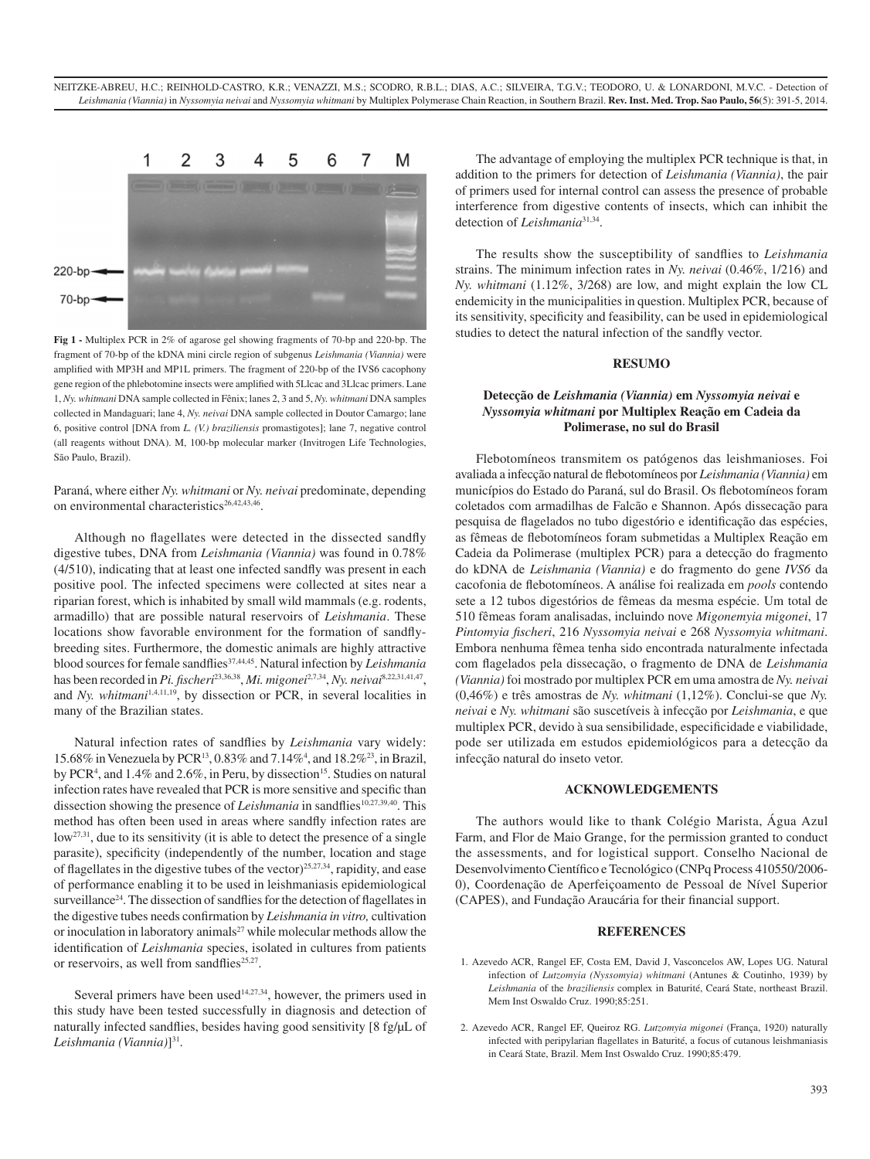

**Fig 1 -** Multiplex PCR in 2% of agarose gel showing fragments of 70-bp and 220-bp. The fragment of 70-bp of the kDNA mini circle region of subgenus *Leishmania (Viannia)* were amplified with MP3H and MP1L primers. The fragment of 220-bp of the IVS6 cacophony gene region of the phlebotomine insects were amplified with 5Llcac and 3Llcac primers. Lane 1, *Ny. whitmani* DNA sample collected in Fênix; lanes 2, 3 and 5, *Ny. whitmani* DNA samples collected in Mandaguari; lane 4, *Ny. neivai* DNA sample collected in Doutor Camargo; lane 6, positive control [DNA from *L. (V.) braziliensis* promastigotes]; lane 7, negative control (all reagents without DNA). M, 100-bp molecular marker (Invitrogen Life Technologies, São Paulo, Brazil).

Paraná, where either *Ny. whitmani* or *Ny. neivai* predominate, depending on environmental characteristics<sup>26,42,43,46</sup>.

Although no flagellates were detected in the dissected sandfly digestive tubes, DNA from *Leishmania (Viannia)* was found in 0.78% (4/510), indicating that at least one infected sandfly was present in each positive pool. The infected specimens were collected at sites near a riparian forest, which is inhabited by small wild mammals (e.g. rodents, armadillo) that are possible natural reservoirs of *Leishmania*. These locations show favorable environment for the formation of sandflybreeding sites. Furthermore, the domestic animals are highly attractive blood sources for female sandflies<sup>37,44,45</sup>. Natural infection by *Leishmania* has been recorded in *Pi. fischeri*23,36,38, *Mi. migonei*2,7,34, *Ny. neivai*8,22,31,41,47, and *Ny. whitmani*1,4,11,19, by dissection or PCR, in several localities in many of the Brazilian states.

Natural infection rates of sandflies by *Leishmania* vary widely: 15.68% in Venezuela by PCR13, 0.83% and 7.14%4 , and 18.2%23, in Brazil, by PCR<sup>4</sup>, and 1.4% and 2.6%, in Peru, by dissection<sup>15</sup>. Studies on natural infection rates have revealed that PCR is more sensitive and specific than dissection showing the presence of *Leishmania* in sandflies<sup>10,27,39,40</sup>. This method has often been used in areas where sandfly infection rates are low<sup>27,31</sup>, due to its sensitivity (it is able to detect the presence of a single parasite), specificity (independently of the number, location and stage of flagellates in the digestive tubes of the vector)<sup>25,27,34</sup>, rapidity, and ease of performance enabling it to be used in leishmaniasis epidemiological surveillance<sup>24</sup>. The dissection of sandflies for the detection of flagellates in the digestive tubes needs confirmation by *Leishmania in vitro,* cultivation or inoculation in laboratory animals<sup>27</sup> while molecular methods allow the identification of *Leishmania* species, isolated in cultures from patients or reservoirs, as well from sandflies $25,27$ .

Several primers have been used<sup>14,27,34</sup>, however, the primers used in this study have been tested successfully in diagnosis and detection of naturally infected sandflies, besides having good sensitivity [8 fg/µL of *Leishmania (Viannia)*]31.

The advantage of employing the multiplex PCR technique is that, in addition to the primers for detection of *Leishmania (Viannia)*, the pair of primers used for internal control can assess the presence of probable interference from digestive contents of insects, which can inhibit the detection of *Leishmania*<sup>31,34</sup>.

The results show the susceptibility of sandflies to *Leishmania*  strains. The minimum infection rates in *Ny. neivai* (0.46%, 1/216) and *Ny. whitmani* (1.12%, 3/268) are low, and might explain the low CL endemicity in the municipalities in question. Multiplex PCR, because of its sensitivity, specificity and feasibility, can be used in epidemiological studies to detect the natural infection of the sandfly vector.

#### **RESUMO**

## **Detecção de** *Leishmania (Viannia)* **em** *Nyssomyia neivai* **e**  *Nyssomyia whitmani* **por Multiplex Reação em Cadeia da Polimerase, no sul do Brasil**

Flebotomíneos transmitem os patógenos das leishmanioses. Foi avaliada a infecção natural de flebotomíneos por *Leishmania (Viannia)* em municípios do Estado do Paraná, sul do Brasil. Os flebotomíneos foram coletados com armadilhas de Falcão e Shannon. Após dissecação para pesquisa de flagelados no tubo digestório e identificação das espécies, as fêmeas de flebotomíneos foram submetidas a Multiplex Reação em Cadeia da Polimerase (multiplex PCR) para a detecção do fragmento do kDNA de *Leishmania (Viannia)* e do fragmento do gene *IVS6* da cacofonia de flebotomíneos. A análise foi realizada em *pools* contendo sete a 12 tubos digestórios de fêmeas da mesma espécie. Um total de 510 fêmeas foram analisadas, incluindo nove *Migonemyia migonei*, 17 *Pintomyia fischeri*, 216 *Nyssomyia neivai* e 268 *Nyssomyia whitmani*. Embora nenhuma fêmea tenha sido encontrada naturalmente infectada com flagelados pela dissecação, o fragmento de DNA de *Leishmania (Viannia)* foi mostrado por multiplex PCR em uma amostra de *Ny. neivai* (0,46%) e três amostras de *Ny. whitmani* (1,12%). Conclui-se que *Ny. neivai* e *Ny. whitmani* são suscetíveis à infecção por *Leishmania*, e que multiplex PCR, devido à sua sensibilidade, especificidade e viabilidade, pode ser utilizada em estudos epidemiológicos para a detecção da infecção natural do inseto vetor.

## **ACKNOWLEDGEMENTS**

The authors would like to thank Colégio Marista, Água Azul Farm, and Flor de Maio Grange, for the permission granted to conduct the assessments, and for logistical support. Conselho Nacional de Desenvolvimento Científico e Tecnológico (CNPq Process 410550/2006- 0), Coordenação de Aperfeiçoamento de Pessoal de Nível Superior (CAPES), and Fundação Araucária for their financial support.

#### **REFERENCES**

- 1. Azevedo ACR, Rangel EF, Costa EM, David J, Vasconcelos AW, Lopes UG. Natural infection of *Lutzomyia (Nyssomyia) whitmani* (Antunes & Coutinho, 1939) by *Leishmania* of the *braziliensis* complex in Baturité, Ceará State, northeast Brazil. Mem Inst Oswaldo Cruz. 1990;85:251.
- 2. Azevedo ACR, Rangel EF, Queiroz RG. *Lutzomyia migonei* (França, 1920) naturally infected with peripylarian flagellates in Baturité, a focus of cutanous leishmaniasis in Ceará State, Brazil. Mem Inst Oswaldo Cruz. 1990;85:479.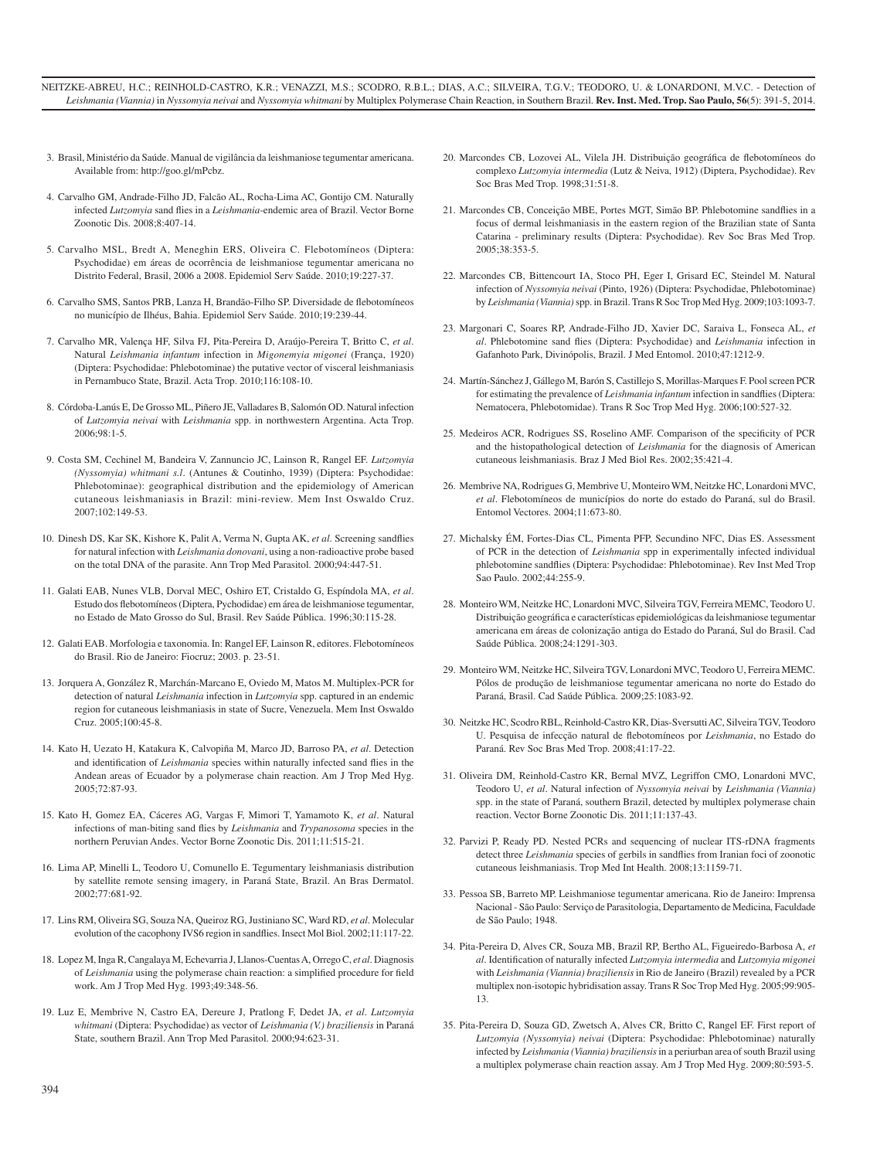- 3. Brasil, Ministério da Saúde. Manual de vigilância da leishmaniose tegumentar americana. Available from: http://goo.gl/mPcbz.
- 4. Carvalho GM, Andrade-Filho JD, Falcão AL, Rocha-Lima AC, Gontijo CM. Naturally infected *Lutzomyia* sand flies in a *Leishmania*-endemic area of Brazil. Vector Borne Zoonotic Dis. 2008;8:407-14.
- 5. Carvalho MSL, Bredt A, Meneghin ERS, Oliveira C. Flebotomíneos (Diptera: Psychodidae) em áreas de ocorrência de leishmaniose tegumentar americana no Distrito Federal, Brasil, 2006 a 2008. Epidemiol Serv Saúde. 2010;19:227-37.
- 6. Carvalho SMS, Santos PRB, Lanza H, Brandão-Filho SP. Diversidade de flebotomíneos no município de Ilhéus, Bahia. Epidemiol Serv Saúde. 2010;19:239-44.
- 7. Carvalho MR, Valença HF, Silva FJ, Pita-Pereira D, Araújo-Pereira T, Britto C, *et al*. Natural *Leishmania infantum* infection in *Migonemyia migonei* (França, 1920) (Diptera: Psychodidae: Phlebotominae) the putative vector of visceral leishmaniasis in Pernambuco State, Brazil. Acta Trop. 2010;116:108-10.
- 8. Córdoba-Lanús E, De Grosso ML, Piñero JE, Valladares B, Salomón OD. Natural infection of *Lutzomyia neivai* with *Leishmania* spp. in northwestern Argentina. Acta Trop.  $2006.98.1.5$
- 9. Costa SM, Cechinel M, Bandeira V, Zannuncio JC, Lainson R, Rangel EF. *Lutzomyia (Nyssomyia) whitmani s.l*. (Antunes & Coutinho, 1939) (Diptera: Psychodidae: Phlebotominae): geographical distribution and the epidemiology of American cutaneous leishmaniasis in Brazil: mini-review. Mem Inst Oswaldo Cruz. 2007;102:149-53.
- 10. Dinesh DS, Kar SK, Kishore K, Palit A, Verma N, Gupta AK, *et al*. Screening sandflies for natural infection with *Leishmania donovani*, using a non-radioactive probe based on the total DNA of the parasite. Ann Trop Med Parasitol. 2000;94:447-51.
- 11. Galati EAB, Nunes VLB, Dorval MEC, Oshiro ET, Cristaldo G, Espíndola MA, *et al*. Estudo dos flebotomíneos (Diptera, Pychodidae) em área de leishmaniose tegumentar, no Estado de Mato Grosso do Sul, Brasil. Rev Saúde Pública. 1996;30:115-28.
- 12. Galati EAB. Morfologia e taxonomia. In: Rangel EF, Lainson R, editores. Flebotomíneos do Brasil. Rio de Janeiro: Fiocruz; 2003. p. 23-51.
- 13. Jorquera A, González R, Marchán-Marcano E, Oviedo M, Matos M. Multiplex-PCR for detection of natural *Leishmania* infection in *Lutzomyia* spp. captured in an endemic region for cutaneous leishmaniasis in state of Sucre, Venezuela. Mem Inst Oswaldo Cruz. 2005;100:45-8.
- 14. Kato H, Uezato H, Katakura K, Calvopiña M, Marco JD, Barroso PA, *et al*. Detection and identification of *Leishmania* species within naturally infected sand flies in the Andean areas of Ecuador by a polymerase chain reaction. Am J Trop Med Hyg. 2005;72:87-93.
- 15. Kato H, Gomez EA, Cáceres AG, Vargas F, Mimori T, Yamamoto K, *et al*. Natural infections of man-biting sand flies by *Leishmania* and *Trypanosoma* species in the northern Peruvian Andes. Vector Borne Zoonotic Dis. 2011;11:515-21.
- 16. Lima AP, Minelli L, Teodoro U, Comunello E. Tegumentary leishmaniasis distribution by satellite remote sensing imagery, in Paraná State, Brazil. An Bras Dermatol. 2002;77:681-92.
- 17. Lins RM, Oliveira SG, Souza NA, Queiroz RG, Justiniano SC, Ward RD, *et al*. Molecular evolution of the cacophony IVS6 region in sandflies. Insect Mol Biol. 2002;11:117-22.
- 18. Lopez M, Inga R, Cangalaya M, Echevarria J, Llanos-Cuentas A, Orrego C, *et al*. Diagnosis of *Leishmania* using the polymerase chain reaction: a simplified procedure for field work. Am J Trop Med Hyg. 1993;49:348-56.
- 19. Luz E, Membrive N, Castro EA, Dereure J, Pratlong F, Dedet JA, *et al*. *Lutzomyia whitmani* (Diptera: Psychodidae) as vector of *Leishmania (V.) braziliensis* in Paraná State, southern Brazil. Ann Trop Med Parasitol. 2000;94:623-31.
- 20. Marcondes CB, Lozovei AL, Vilela JH. Distribuição geográfica de flebotomíneos do complexo *Lutzomyia intermedia* (Lutz & Neiva, 1912) (Diptera, Psychodidae). Rev Soc Bras Med Trop. 1998;31:51-8.
- 21. Marcondes CB, Conceição MBE, Portes MGT, Simão BP. Phlebotomine sandflies in a focus of dermal leishmaniasis in the eastern region of the Brazilian state of Santa Catarina - preliminary results (Diptera: Psychodidae). Rev Soc Bras Med Trop. 2005;38:353-5.
- 22. Marcondes CB, Bittencourt IA, Stoco PH, Eger I, Grisard EC, Steindel M. Natural infection of *Nyssomyia neivai* (Pinto, 1926) (Diptera: Psychodidae, Phlebotominae) by *Leishmania (Viannia)* spp. in Brazil. Trans R Soc Trop Med Hyg. 2009;103:1093-7.
- 23. Margonari C, Soares RP, Andrade-Filho JD, Xavier DC, Saraiva L, Fonseca AL, *et al*. Phlebotomine sand flies (Diptera: Psychodidae) and *Leishmania* infection in Gafanhoto Park, Divinópolis, Brazil. J Med Entomol. 2010;47:1212-9.
- 24. Martín-Sánchez J, Gállego M, Barón S, Castillejo S, Morillas-Marques F. Pool screen PCR for estimating the prevalence of *Leishmania infantum* infection in sandflies (Diptera: Nematocera, Phlebotomidae). Trans R Soc Trop Med Hyg. 2006;100:527-32.
- 25. Medeiros ACR, Rodrigues SS, Roselino AMF. Comparison of the specificity of PCR and the histopathological detection of *Leishmania* for the diagnosis of American cutaneous leishmaniasis. Braz J Med Biol Res. 2002;35:421-4.
- 26. Membrive NA, Rodrigues G, Membrive U, Monteiro WM, Neitzke HC, Lonardoni MVC, *et al*. Flebotomíneos de municípios do norte do estado do Paraná, sul do Brasil. Entomol Vectores. 2004;11:673-80.
- 27. Michalsky ÉM, Fortes-Dias CL, Pimenta PFP, Secundino NFC, Dias ES. Assessment of PCR in the detection of *Leishmania* spp in experimentally infected individual phlebotomine sandflies (Diptera: Psychodidae: Phlebotominae). Rev Inst Med Trop Sao Paulo. 2002;44:255-9.
- 28. Monteiro WM, Neitzke HC, Lonardoni MVC, Silveira TGV, Ferreira MEMC, Teodoro U. Distribuição geográfica e características epidemiológicas da leishmaniose tegumentar americana em áreas de colonização antiga do Estado do Paraná, Sul do Brasil. Cad Saúde Pública. 2008;24:1291-303.
- 29. Monteiro WM, Neitzke HC, Silveira TGV, Lonardoni MVC, Teodoro U, Ferreira MEMC. Pólos de produção de leishmaniose tegumentar americana no norte do Estado do Paraná, Brasil. Cad Saúde Pública. 2009;25:1083-92.
- 30. Neitzke HC, Scodro RBL, Reinhold-Castro KR, Dias-Sversutti AC, Silveira TGV, Teodoro U. Pesquisa de infecção natural de flebotomíneos por *Leishmania*, no Estado do Paraná. Rev Soc Bras Med Trop. 2008;41:17-22.
- 31. Oliveira DM, Reinhold-Castro KR, Bernal MVZ, Legriffon CMO, Lonardoni MVC, Teodoro U, *et al*. Natural infection of *Nyssomyia neivai* by *Leishmania (Viannia)* spp. in the state of Paraná, southern Brazil, detected by multiplex polymerase chain reaction. Vector Borne Zoonotic Dis. 2011;11:137-43.
- 32. Parvizi P, Ready PD. Nested PCRs and sequencing of nuclear ITS-rDNA fragments detect three *Leishmania* species of gerbils in sandflies from Iranian foci of zoonotic cutaneous leishmaniasis. Trop Med Int Health. 2008;13:1159-71.
- 33. Pessoa SB, Barreto MP. Leishmaniose tegumentar americana. Rio de Janeiro: Imprensa Nacional - São Paulo: Serviço de Parasitologia, Departamento de Medicina, Faculdade de São Paulo; 1948.
- 34. Pita-Pereira D, Alves CR, Souza MB, Brazil RP, Bertho AL, Figueiredo-Barbosa A, *et al*. Identification of naturally infected *Lutzomyia intermedia* and *Lutzomyia migonei* with *Leishmania (Viannia) braziliensis* in Rio de Janeiro (Brazil) revealed by a PCR multiplex non-isotopic hybridisation assay. Trans R Soc Trop Med Hyg. 2005;99:905- 13.
- 35. Pita-Pereira D, Souza GD, Zwetsch A, Alves CR, Britto C, Rangel EF. First report of *Lutzomyia (Nyssomyia) neivai* (Diptera: Psychodidae: Phlebotominae) naturally infected by *Leishmania (Viannia) braziliensis* in a periurban area of south Brazil using a multiplex polymerase chain reaction assay. Am J Trop Med Hyg. 2009;80:593-5.